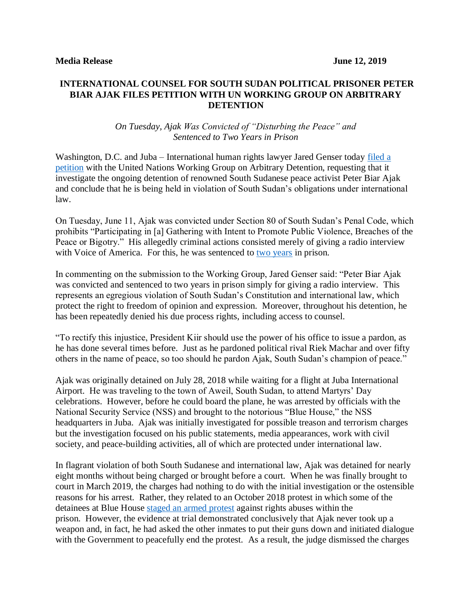## **INTERNATIONAL COUNSEL FOR SOUTH SUDAN POLITICAL PRISONER PETER BIAR AJAK FILES PETITION WITH UN WORKING GROUP ON ARBITRARY DETENTION**

*On Tuesday, Ajak Was Convicted of "Disturbing the Peace" and Sentenced to Two Years in Prison*

Washington, D.C. and Juba – International human rights lawyer Jared Genser today [filed a](https://www.perseus-strategies.com/wp-content/uploads/2019/06/UNWGAD-Petition_-Peter-Biar-Ajak_6.12.19.pdf)  [petition](https://www.perseus-strategies.com/wp-content/uploads/2019/06/UNWGAD-Petition_-Peter-Biar-Ajak_6.12.19.pdf) with the United Nations Working Group on Arbitrary Detention, requesting that it investigate the ongoing detention of renowned South Sudanese peace activist Peter Biar Ajak and conclude that he is being held in violation of South Sudan's obligations under international law.

On Tuesday, June 11, Ajak was convicted under Section 80 of South Sudan's Penal Code, which prohibits "Participating in [a] Gathering with Intent to Promote Public Violence, Breaches of the Peace or Bigotry." His allegedly criminal actions consisted merely of giving a radio interview with Voice of America. For this, he was sentenced to [two years](https://www.apnews.com/41ae46a7587042c994f2848624406493) in prison.

In commenting on the submission to the Working Group, Jared Genser said: "Peter Biar Ajak was convicted and sentenced to two years in prison simply for giving a radio interview. This represents an egregious violation of South Sudan's Constitution and international law, which protect the right to freedom of opinion and expression. Moreover, throughout his detention, he has been repeatedly denied his due process rights, including access to counsel.

"To rectify this injustice, President Kiir should use the power of his office to issue a pardon, as he has done several times before. Just as he pardoned political rival Riek Machar and over fifty others in the name of peace, so too should he pardon Ajak, South Sudan's champion of peace."

Ajak was originally detained on July 28, 2018 while waiting for a flight at Juba International Airport. He was traveling to the town of Aweil, South Sudan, to attend Martyrs' Day celebrations. However, before he could board the plane, he was arrested by officials with the National Security Service (NSS) and brought to the notorious "Blue House," the NSS headquarters in Juba. Ajak was initially investigated for possible treason and terrorism charges but the investigation focused on his public statements, media appearances, work with civil society, and peace-building activities, all of which are protected under international law.

In flagrant violation of both South Sudanese and international law, Ajak was detained for nearly eight months without being charged or brought before a court. When he was finally brought to court in March 2019, the charges had nothing to do with the initial investigation or the ostensible reasons for his arrest. Rather, they related to an October 2018 protest in which some of the detainees at Blue House [staged an armed protest](https://www.voanews.com/archive/prison-standoff-south-sudans-blue-house) against rights abuses within the prison. However, the evidence at trial demonstrated conclusively that Ajak never took up a weapon and, in fact, he had asked the other inmates to put their guns down and initiated dialogue with the Government to peacefully end the protest. As a result, the judge dismissed the charges